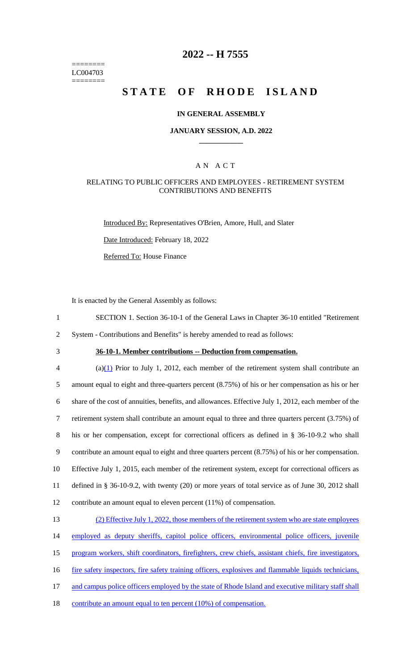======== LC004703 ========

# **2022 -- H 7555**

# **STATE OF RHODE ISLAND**

### **IN GENERAL ASSEMBLY**

### **JANUARY SESSION, A.D. 2022 \_\_\_\_\_\_\_\_\_\_\_\_**

### A N A C T

### RELATING TO PUBLIC OFFICERS AND EMPLOYEES - RETIREMENT SYSTEM CONTRIBUTIONS AND BENEFITS

Introduced By: Representatives O'Brien, Amore, Hull, and Slater

Date Introduced: February 18, 2022

Referred To: House Finance

It is enacted by the General Assembly as follows:

1 SECTION 1. Section 36-10-1 of the General Laws in Chapter 36-10 entitled "Retirement

2 System - Contributions and Benefits" is hereby amended to read as follows:

# 3 **36-10-1. Member contributions -- Deduction from compensation.**

 $\frac{a(1)}{2}$  Prior to July 1, 2012, each member of the retirement system shall contribute an amount equal to eight and three-quarters percent (8.75%) of his or her compensation as his or her share of the cost of annuities, benefits, and allowances. Effective July 1, 2012, each member of the retirement system shall contribute an amount equal to three and three quarters percent (3.75%) of his or her compensation, except for correctional officers as defined in § 36-10-9.2 who shall contribute an amount equal to eight and three quarters percent (8.75%) of his or her compensation. Effective July 1, 2015, each member of the retirement system, except for correctional officers as defined in § 36-10-9.2, with twenty (20) or more years of total service as of June 30, 2012 shall contribute an amount equal to eleven percent (11%) of compensation.

# 13 (2) Effective July 1, 2022, those members of the retirement system who are state employees 14 employed as deputy sheriffs, capitol police officers, environmental police officers, juvenile 15 program workers, shift coordinators, firefighters, crew chiefs, assistant chiefs, fire investigators, 16 fire safety inspectors, fire safety training officers, explosives and flammable liquids technicians, 17 and campus police officers employed by the state of Rhode Island and executive military staff shall 18 contribute an amount equal to ten percent (10%) of compensation.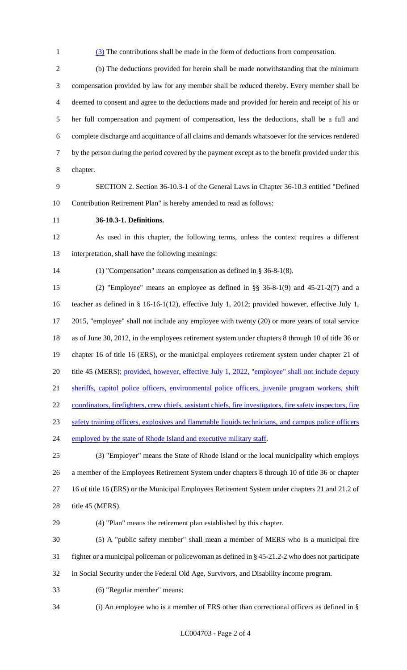(3) The contributions shall be made in the form of deductions from compensation.

 (b) The deductions provided for herein shall be made notwithstanding that the minimum compensation provided by law for any member shall be reduced thereby. Every member shall be deemed to consent and agree to the deductions made and provided for herein and receipt of his or her full compensation and payment of compensation, less the deductions, shall be a full and complete discharge and acquittance of all claims and demands whatsoever for the services rendered by the person during the period covered by the payment except as to the benefit provided under this chapter.

 SECTION 2. Section 36-10.3-1 of the General Laws in Chapter 36-10.3 entitled "Defined Contribution Retirement Plan" is hereby amended to read as follows:

**36-10.3-1. Definitions.**

 As used in this chapter, the following terms, unless the context requires a different interpretation, shall have the following meanings:

(1) "Compensation" means compensation as defined in § 36-8-1(8).

 (2) "Employee" means an employee as defined in §§ 36-8-1(9) and 45-21-2(7) and a teacher as defined in § 16-16-1(12), effective July 1, 2012; provided however, effective July 1, 2015, "employee" shall not include any employee with twenty (20) or more years of total service as of June 30, 2012, in the employees retirement system under chapters 8 through 10 of title 36 or chapter 16 of title 16 (ERS), or the municipal employees retirement system under chapter 21 of 20 title 45 (MERS); provided, however, effective July 1, 2022, "employee" shall not include deputy 21 sheriffs, capitol police officers, environmental police officers, juvenile program workers, shift 22 coordinators, firefighters, crew chiefs, assistant chiefs, fire investigators, fire safety inspectors, fire safety training officers, explosives and flammable liquids technicians, and campus police officers 24 employed by the state of Rhode Island and executive military staff. (3) "Employer" means the State of Rhode Island or the local municipality which employs a member of the Employees Retirement System under chapters 8 through 10 of title 36 or chapter

 16 of title 16 (ERS) or the Municipal Employees Retirement System under chapters 21 and 21.2 of 28 title 45 (MERS).

(4) "Plan" means the retirement plan established by this chapter.

 (5) A "public safety member" shall mean a member of MERS who is a municipal fire fighter or a municipal policeman or policewoman as defined in § 45-21.2-2 who does not participate in Social Security under the Federal Old Age, Survivors, and Disability income program.

(6) "Regular member" means:

(i) An employee who is a member of ERS other than correctional officers as defined in §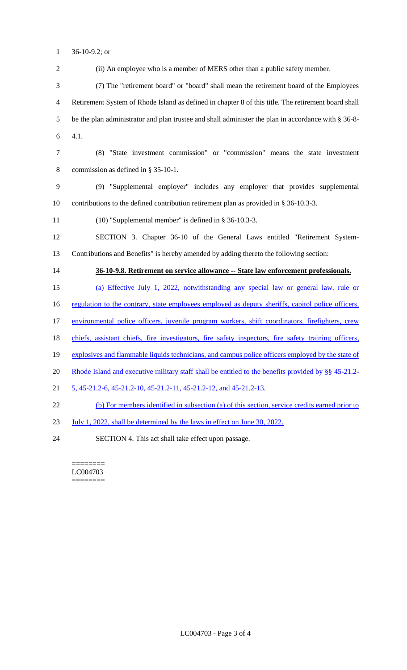36-10-9.2; or

 (ii) An employee who is a member of MERS other than a public safety member. (7) The "retirement board" or "board" shall mean the retirement board of the Employees Retirement System of Rhode Island as defined in chapter 8 of this title. The retirement board shall be the plan administrator and plan trustee and shall administer the plan in accordance with § 36-8- 4.1. (8) "State investment commission" or "commission" means the state investment commission as defined in § 35-10-1. (9) "Supplemental employer" includes any employer that provides supplemental contributions to the defined contribution retirement plan as provided in § 36-10.3-3. (10) "Supplemental member" is defined in § 36-10.3-3. SECTION 3. Chapter 36-10 of the General Laws entitled "Retirement System- Contributions and Benefits" is hereby amended by adding thereto the following section: **36-10-9.8. Retirement on service allowance -- State law enforcement professionals.**  (a) Effective July 1, 2022, notwithstanding any special law or general law, rule or 16 regulation to the contrary, state employees employed as deputy sheriffs, capitol police officers, environmental police officers, juvenile program workers, shift coordinators, firefighters, crew 18 chiefs, assistant chiefs, fire investigators, fire safety inspectors, fire safety training officers, explosives and flammable liquids technicians, and campus police officers employed by the state of Rhode Island and executive military staff shall be entitled to the benefits provided by §§ 45-21.2- 5, 45-21.2-6, 45-21.2-10, 45-21.2-11, 45-21.2-12, and 45-21.2-13. (b) For members identified in subsection (a) of this section, service credits earned prior to July 1, 2022, shall be determined by the laws in effect on June 30, 2022. SECTION 4. This act shall take effect upon passage.

======== LC004703 ========